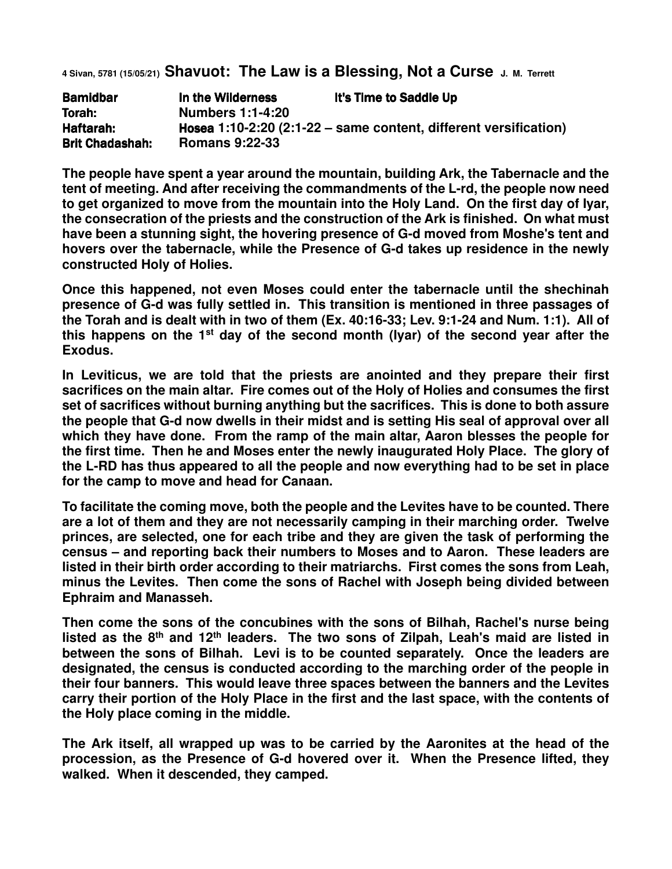**4 Sivan, 5781 (15/05/21) Shavuot: The Law is a Blessing, Not a Curse J. M. Terrett**

| <b>Bamidbar</b>        | In the Wilderness                                                | It's Time to Saddle Up |
|------------------------|------------------------------------------------------------------|------------------------|
| Torah:                 | <b>Numbers 1:1-4:20</b>                                          |                        |
| Haftarah:              | Hosea 1:10-2:20 (2:1-22 – same content, different versification) |                        |
| <b>Brit Chadashah:</b> | <b>Romans 9:22-33</b>                                            |                        |

**The people have spent a year around the mountain, building Ark, the Tabernacle and the tent of meeting. And after receiving the commandments of the L-rd, the people now need to get organized to move from the mountain into the Holy Land. On the first day of Iyar, the consecration of the priests and the construction of the Ark is finished. On what must have been a stunning sight, the hovering presence of G-d moved from Moshe's tent and hovers over the tabernacle, while the Presence of G-d takes up residence in the newly constructed Holy of Holies.** 

**Once this happened, not even Moses could enter the tabernacle until the shechinah presence of G-d was fully settled in. This transition is mentioned in three passages of the Torah and is dealt with in two of them (Ex. 40:16-33; Lev. 9:1-24 and Num. 1:1). All of this happens on the 1st day of the second month (Iyar) of the second year after the Exodus.**

**In Leviticus, we are told that the priests are anointed and they prepare their first sacrifices on the main altar. Fire comes out of the Holy of Holies and consumes the first set of sacrifices without burning anything but the sacrifices. This is done to both assure the people that G-d now dwells in their midst and is setting His seal of approval over all which they have done. From the ramp of the main altar, Aaron blesses the people for the first time. Then he and Moses enter the newly inaugurated Holy Place. The glory of the L-RD has thus appeared to all the people and now everything had to be set in place for the camp to move and head for Canaan.** 

**To facilitate the coming move, both the people and the Levites have to be counted. There are a lot of them and they are not necessarily camping in their marching order. Twelve princes, are selected, one for each tribe and they are given the task of performing the census – and reporting back their numbers to Moses and to Aaron. These leaders are listed in their birth order according to their matriarchs. First comes the sons from Leah, minus the Levites. Then come the sons of Rachel with Joseph being divided between Ephraim and Manasseh.** 

**Then come the sons of the concubines with the sons of Bilhah, Rachel's nurse being listed as the 8th and 12th leaders. The two sons of Zilpah, Leah's maid are listed in between the sons of Bilhah. Levi is to be counted separately. Once the leaders are designated, the census is conducted according to the marching order of the people in their four banners. This would leave three spaces between the banners and the Levites carry their portion of the Holy Place in the first and the last space, with the contents of the Holy place coming in the middle.**

**The Ark itself, all wrapped up was to be carried by the Aaronites at the head of the procession, as the Presence of G-d hovered over it. When the Presence lifted, they walked. When it descended, they camped.**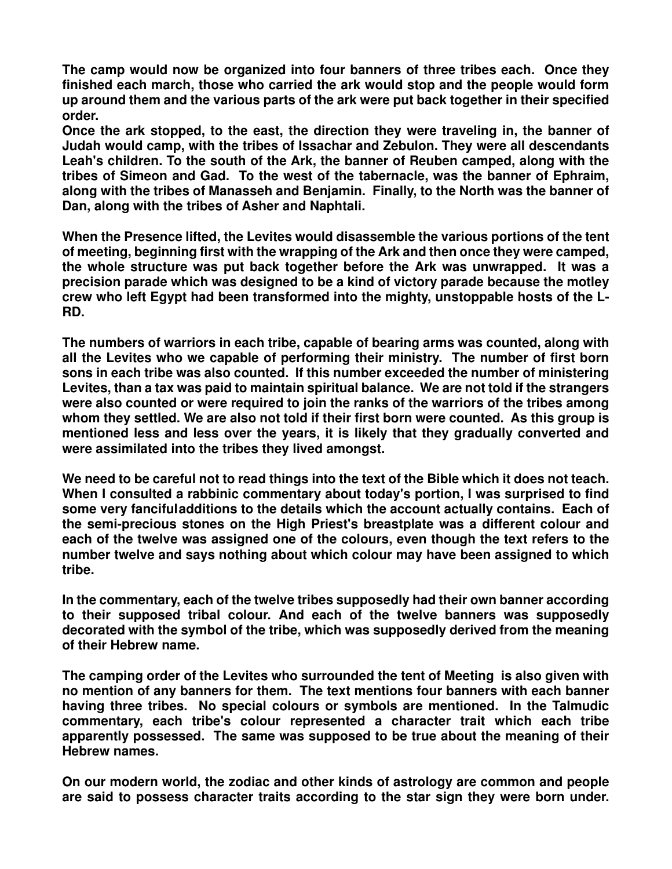**The camp would now be organized into four banners of three tribes each. Once they finished each march, those who carried the ark would stop and the people would form up around them and the various parts of the ark were put back together in their specified order.** 

**Once the ark stopped, to the east, the direction they were traveling in, the banner of Judah would camp, with the tribes of Issachar and Zebulon. They were all descendants Leah's children. To the south of the Ark, the banner of Reuben camped, along with the tribes of Simeon and Gad. To the west of the tabernacle, was the banner of Ephraim, along with the tribes of Manasseh and Benjamin. Finally, to the North was the banner of Dan, along with the tribes of Asher and Naphtali.**

**When the Presence lifted, the Levites would disassemble the various portions of the tent of meeting, beginning first with the wrapping of the Ark and then once they were camped, the whole structure was put back together before the Ark was unwrapped. It was a precision parade which was designed to be a kind of victory parade because the motley crew who left Egypt had been transformed into the mighty, unstoppable hosts of the L-RD.** 

**The numbers of warriors in each tribe, capable of bearing arms was counted, along with all the Levites who we capable of performing their ministry. The number of first born sons in each tribe was also counted. If this number exceeded the number of ministering Levites, than a tax was paid to maintain spiritual balance. We are not told if the strangers were also counted or were required to join the ranks of the warriors of the tribes among whom they settled. We are also not told if their first born were counted. As this group is mentioned less and less over the years, it is likely that they gradually converted and were assimilated into the tribes they lived amongst.** 

**We need to be careful not to read things into the text of the Bible which it does not teach. When I consulted a rabbinic commentary about today's portion, I was surprised to find some very fanciful additions to the details which the account actually contains. Each of the semi-precious stones on the High Priest's breastplate was a different colour and each of the twelve was assigned one of the colours, even though the text refers to the number twelve and says nothing about which colour may have been assigned to which tribe.** 

**In the commentary, each of the twelve tribes supposedly had their own banner according to their supposed tribal colour. And each of the twelve banners was supposedly decorated with the symbol of the tribe, which was supposedly derived from the meaning of their Hebrew name.** 

**The camping order of the Levites who surrounded the tent of Meeting is also given with no mention of any banners for them. The text mentions four banners with each banner having three tribes. No special colours or symbols are mentioned. In the Talmudic commentary, each tribe's colour represented a character trait which each tribe apparently possessed. The same was supposed to be true about the meaning of their Hebrew names.** 

**On our modern world, the zodiac and other kinds of astrology are common and people are said to possess character traits according to the star sign they were born under.**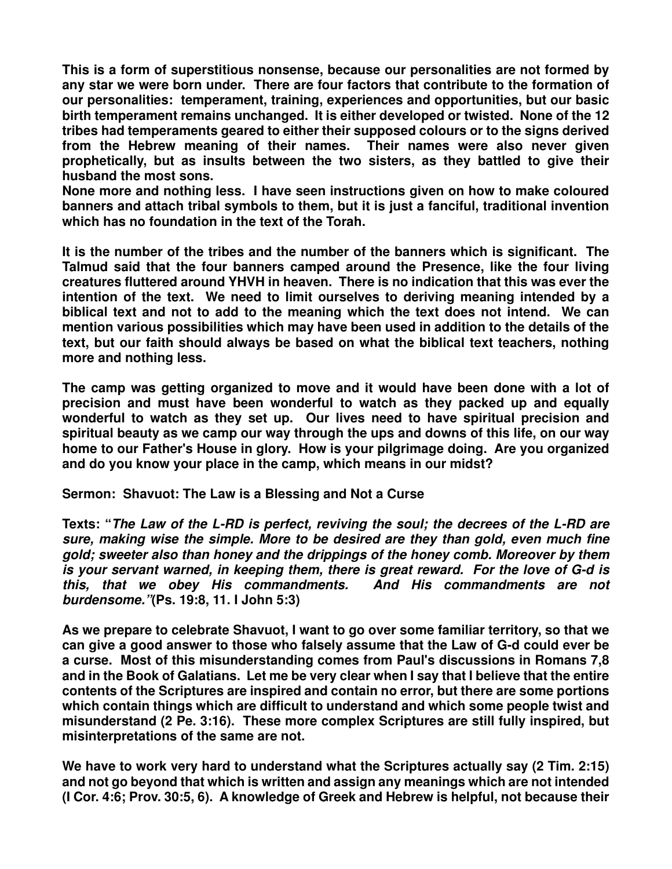**This is a form of superstitious nonsense, because our personalities are not formed by any star we were born under. There are four factors that contribute to the formation of our personalities: temperament, training, experiences and opportunities, but our basic birth temperament remains unchanged. It is either developed or twisted. None of the 12 tribes had temperaments geared to either their supposed colours or to the signs derived from the Hebrew meaning of their names. Their names were also never given prophetically, but as insults between the two sisters, as they battled to give their husband the most sons.** 

**None more and nothing less. I have seen instructions given on how to make coloured banners and attach tribal symbols to them, but it is just a fanciful, traditional invention which has no foundation in the text of the Torah.** 

**It is the number of the tribes and the number of the banners which is significant. The Talmud said that the four banners camped around the Presence, like the four living creatures fluttered around YHVH in heaven. There is no indication that this was ever the intention of the text. We need to limit ourselves to deriving meaning intended by a biblical text and not to add to the meaning which the text does not intend. We can mention various possibilities which may have been used in addition to the details of the text, but our faith should always be based on what the biblical text teachers, nothing more and nothing less.** 

**The camp was getting organized to move and it would have been done with a lot of precision and must have been wonderful to watch as they packed up and equally wonderful to watch as they set up. Our lives need to have spiritual precision and spiritual beauty as we camp our way through the ups and downs of this life, on our way home to our Father's House in glory. How is your pilgrimage doing. Are you organized and do you know your place in the camp, which means in our midst?** 

**Sermon: Shavuot: The Law is a Blessing and Not a Curse** 

**Texts: "The Law of the L-RD is perfect, reviving the soul; the decrees of the L-RD are sure, making wise the simple. More to be desired are they than gold, even much fine gold; sweeter also than honey and the drippings of the honey comb. Moreover by them is your servant warned, in keeping them, there is great reward. For the love of G-d is this, that we obey His commandments. And His commandments are not burdensome."(Ps. 19:8, 11. I John 5:3)** 

**As we prepare to celebrate Shavuot, I want to go over some familiar territory, so that we can give a good answer to those who falsely assume that the Law of G-d could ever be a curse. Most of this misunderstanding comes from Paul's discussions in Romans 7,8 and in the Book of Galatians. Let me be very clear when I say that I believe that the entire contents of the Scriptures are inspired and contain no error, but there are some portions which contain things which are difficult to understand and which some people twist and misunderstand (2 Pe. 3:16). These more complex Scriptures are still fully inspired, but misinterpretations of the same are not.** 

**We have to work very hard to understand what the Scriptures actually say (2 Tim. 2:15) and not go beyond that which is written and assign any meanings which are not intended (I Cor. 4:6; Prov. 30:5, 6). A knowledge of Greek and Hebrew is helpful, not because their**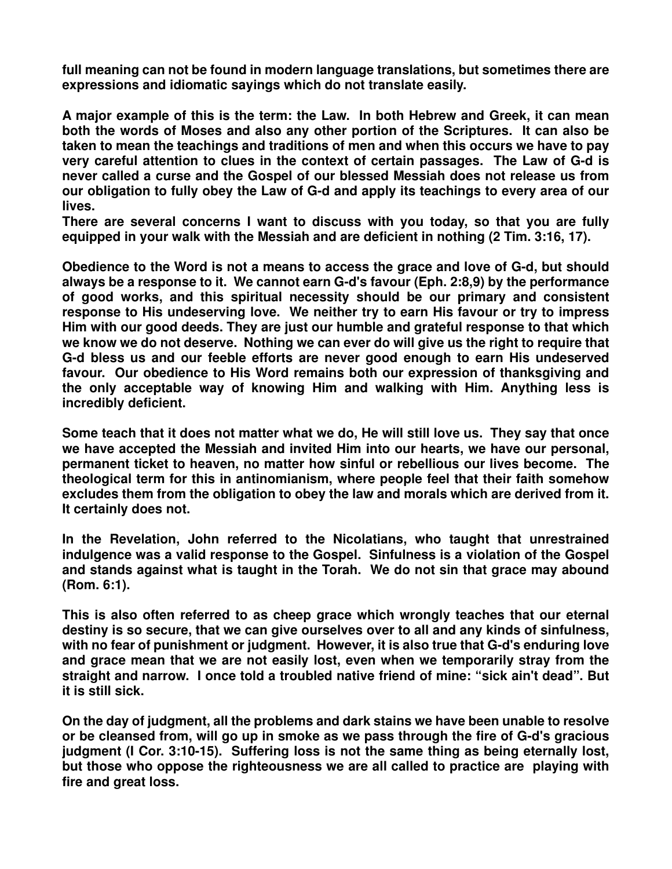**full meaning can not be found in modern language translations, but sometimes there are expressions and idiomatic sayings which do not translate easily.** 

**A major example of this is the term: the Law. In both Hebrew and Greek, it can mean both the words of Moses and also any other portion of the Scriptures. It can also be taken to mean the teachings and traditions of men and when this occurs we have to pay very careful attention to clues in the context of certain passages. The Law of G-d is never called a curse and the Gospel of our blessed Messiah does not release us from our obligation to fully obey the Law of G-d and apply its teachings to every area of our lives.** 

**There are several concerns I want to discuss with you today, so that you are fully equipped in your walk with the Messiah and are deficient in nothing (2 Tim. 3:16, 17).** 

**Obedience to the Word is not a means to access the grace and love of G-d, but should always be a response to it. We cannot earn G-d's favour (Eph. 2:8,9) by the performance of good works, and this spiritual necessity should be our primary and consistent response to His undeserving love. We neither try to earn His favour or try to impress Him with our good deeds. They are just our humble and grateful response to that which we know we do not deserve. Nothing we can ever do will give us the right to require that G-d bless us and our feeble efforts are never good enough to earn His undeserved favour. Our obedience to His Word remains both our expression of thanksgiving and the only acceptable way of knowing Him and walking with Him. Anything less is incredibly deficient.** 

**Some teach that it does not matter what we do, He will still love us. They say that once we have accepted the Messiah and invited Him into our hearts, we have our personal, permanent ticket to heaven, no matter how sinful or rebellious our lives become. The theological term for this in antinomianism, where people feel that their faith somehow excludes them from the obligation to obey the law and morals which are derived from it. It certainly does not.** 

**In the Revelation, John referred to the Nicolatians, who taught that unrestrained indulgence was a valid response to the Gospel. Sinfulness is a violation of the Gospel and stands against what is taught in the Torah. We do not sin that grace may abound (Rom. 6:1).** 

**This is also often referred to as cheep grace which wrongly teaches that our eternal destiny is so secure, that we can give ourselves over to all and any kinds of sinfulness, with no fear of punishment or judgment. However, it is also true that G-d's enduring love and grace mean that we are not easily lost, even when we temporarily stray from the straight and narrow. I once told a troubled native friend of mine: "sick ain't dead". But it is still sick.** 

**On the day of judgment, all the problems and dark stains we have been unable to resolve or be cleansed from, will go up in smoke as we pass through the fire of G-d's gracious judgment (I Cor. 3:10-15). Suffering loss is not the same thing as being eternally lost, but those who oppose the righteousness we are all called to practice are playing with fire and great loss.**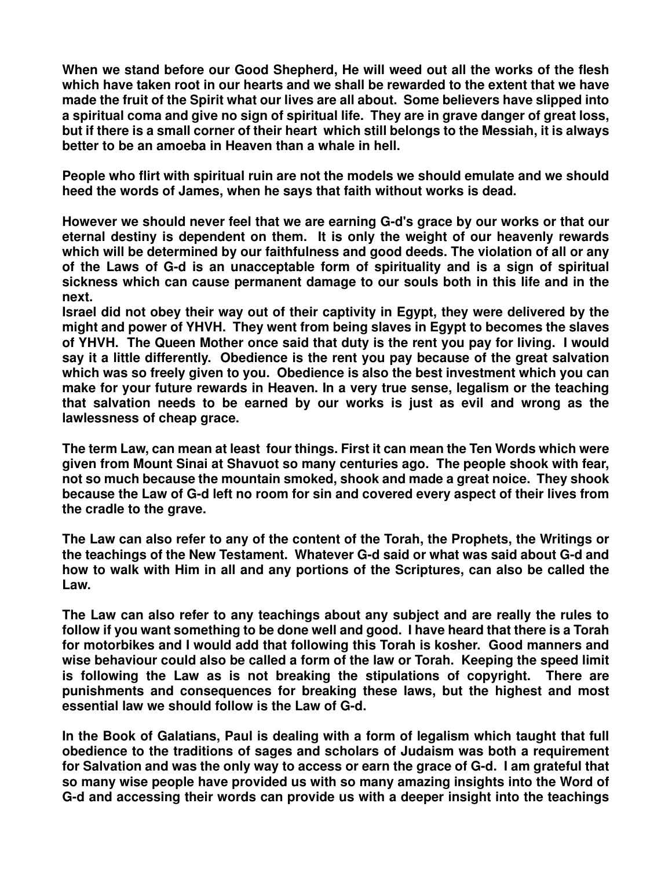**When we stand before our Good Shepherd, He will weed out all the works of the flesh which have taken root in our hearts and we shall be rewarded to the extent that we have made the fruit of the Spirit what our lives are all about. Some believers have slipped into a spiritual coma and give no sign of spiritual life. They are in grave danger of great loss, but if there is a small corner of their heart which still belongs to the Messiah, it is always better to be an amoeba in Heaven than a whale in hell.** 

**People who flirt with spiritual ruin are not the models we should emulate and we should heed the words of James, when he says that faith without works is dead.** 

**However we should never feel that we are earning G-d's grace by our works or that our eternal destiny is dependent on them. It is only the weight of our heavenly rewards which will be determined by our faithfulness and good deeds. The violation of all or any of the Laws of G-d is an unacceptable form of spirituality and is a sign of spiritual sickness which can cause permanent damage to our souls both in this life and in the next.** 

**Israel did not obey their way out of their captivity in Egypt, they were delivered by the might and power of YHVH. They went from being slaves in Egypt to becomes the slaves of YHVH. The Queen Mother once said that duty is the rent you pay for living. I would say it a little differently. Obedience is the rent you pay because of the great salvation which was so freely given to you. Obedience is also the best investment which you can make for your future rewards in Heaven. In a very true sense, legalism or the teaching that salvation needs to be earned by our works is just as evil and wrong as the lawlessness of cheap grace.** 

**The term Law, can mean at least four things. First it can mean the Ten Words which were given from Mount Sinai at Shavuot so many centuries ago. The people shook with fear, not so much because the mountain smoked, shook and made a great noice. They shook because the Law of G-d left no room for sin and covered every aspect of their lives from the cradle to the grave.** 

**The Law can also refer to any of the content of the Torah, the Prophets, the Writings or the teachings of the New Testament. Whatever G-d said or what was said about G-d and how to walk with Him in all and any portions of the Scriptures, can also be called the Law.** 

**The Law can also refer to any teachings about any subject and are really the rules to follow if you want something to be done well and good. I have heard that there is a Torah for motorbikes and I would add that following this Torah is kosher. Good manners and wise behaviour could also be called a form of the law or Torah. Keeping the speed limit is following the Law as is not breaking the stipulations of copyright. There are punishments and consequences for breaking these laws, but the highest and most essential law we should follow is the Law of G-d.** 

**In the Book of Galatians, Paul is dealing with a form of legalism which taught that full obedience to the traditions of sages and scholars of Judaism was both a requirement for Salvation and was the only way to access or earn the grace of G-d. I am grateful that so many wise people have provided us with so many amazing insights into the Word of G-d and accessing their words can provide us with a deeper insight into the teachings**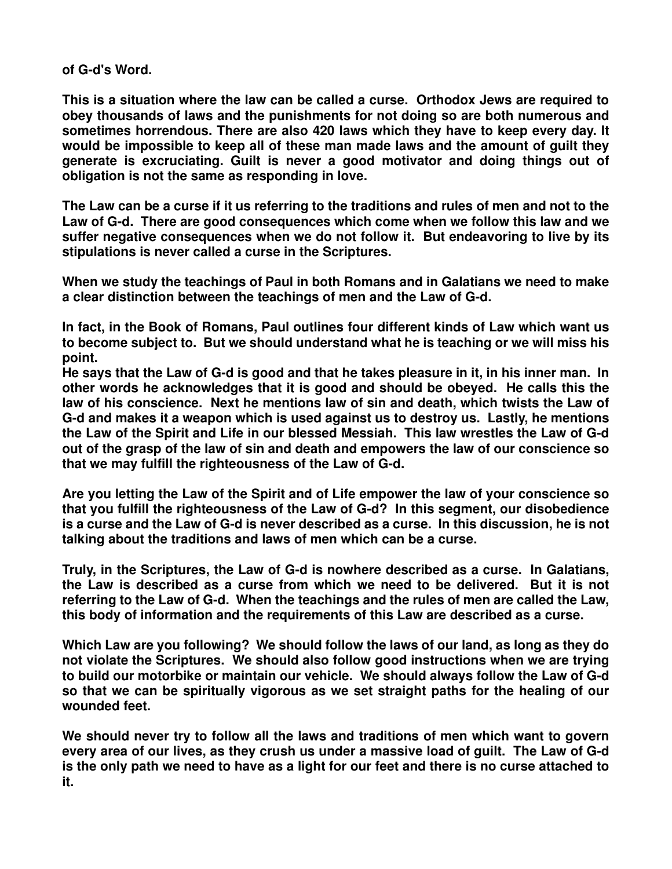**of G-d's Word.** 

**This is a situation where the law can be called a curse. Orthodox Jews are required to obey thousands of laws and the punishments for not doing so are both numerous and sometimes horrendous. There are also 420 laws which they have to keep every day. It would be impossible to keep all of these man made laws and the amount of guilt they generate is excruciating. Guilt is never a good motivator and doing things out of obligation is not the same as responding in love.** 

**The Law can be a curse if it us referring to the traditions and rules of men and not to the Law of G-d. There are good consequences which come when we follow this law and we suffer negative consequences when we do not follow it. But endeavoring to live by its stipulations is never called a curse in the Scriptures.** 

**When we study the teachings of Paul in both Romans and in Galatians we need to make a clear distinction between the teachings of men and the Law of G-d.** 

**In fact, in the Book of Romans, Paul outlines four different kinds of Law which want us to become subject to. But we should understand what he is teaching or we will miss his point.** 

**He says that the Law of G-d is good and that he takes pleasure in it, in his inner man. In other words he acknowledges that it is good and should be obeyed. He calls this the law of his conscience. Next he mentions law of sin and death, which twists the Law of G-d and makes it a weapon which is used against us to destroy us. Lastly, he mentions the Law of the Spirit and Life in our blessed Messiah. This law wrestles the Law of G-d out of the grasp of the law of sin and death and empowers the law of our conscience so that we may fulfill the righteousness of the Law of G-d.** 

**Are you letting the Law of the Spirit and of Life empower the law of your conscience so that you fulfill the righteousness of the Law of G-d? In this segment, our disobedience is a curse and the Law of G-d is never described as a curse. In this discussion, he is not talking about the traditions and laws of men which can be a curse.** 

**Truly, in the Scriptures, the Law of G-d is nowhere described as a curse. In Galatians, the Law is described as a curse from which we need to be delivered. But it is not referring to the Law of G-d. When the teachings and the rules of men are called the Law, this body of information and the requirements of this Law are described as a curse.** 

**Which Law are you following? We should follow the laws of our land, as long as they do not violate the Scriptures. We should also follow good instructions when we are trying to build our motorbike or maintain our vehicle. We should always follow the Law of G-d so that we can be spiritually vigorous as we set straight paths for the healing of our wounded feet.** 

**We should never try to follow all the laws and traditions of men which want to govern every area of our lives, as they crush us under a massive load of guilt. The Law of G-d is the only path we need to have as a light for our feet and there is no curse attached to it.**